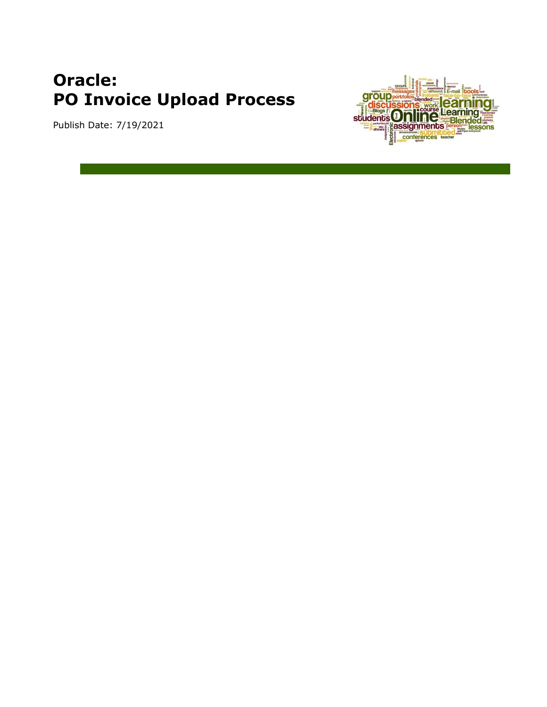# **Oracle: PO Invoice Upload Process**

Publish Date: 7/19/2021

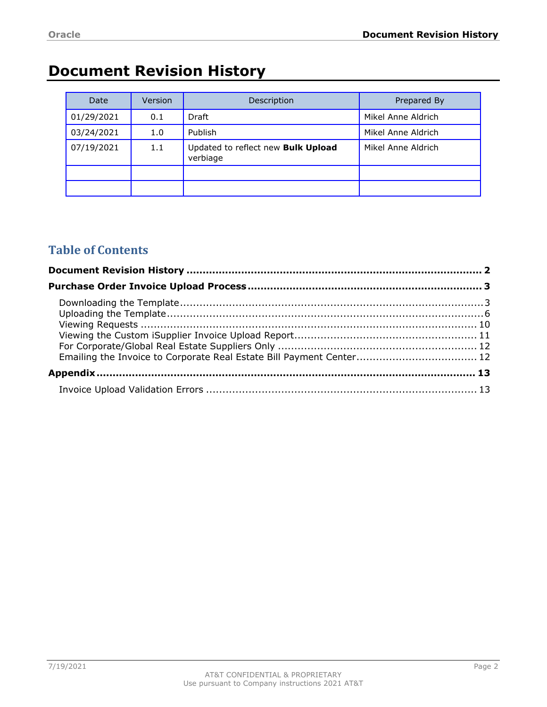# <span id="page-1-0"></span>**Document Revision History**

| Date       | Version | Description                                    | Prepared By        |
|------------|---------|------------------------------------------------|--------------------|
| 01/29/2021 | 0.1     | <b>Draft</b>                                   | Mikel Anne Aldrich |
| 03/24/2021 | 1.0     | Publish                                        | Mikel Anne Aldrich |
| 07/19/2021 | 1.1     | Updated to reflect new Bulk Upload<br>verbiage | Mikel Anne Aldrich |
|            |         |                                                |                    |
|            |         |                                                |                    |

### **Table of Contents**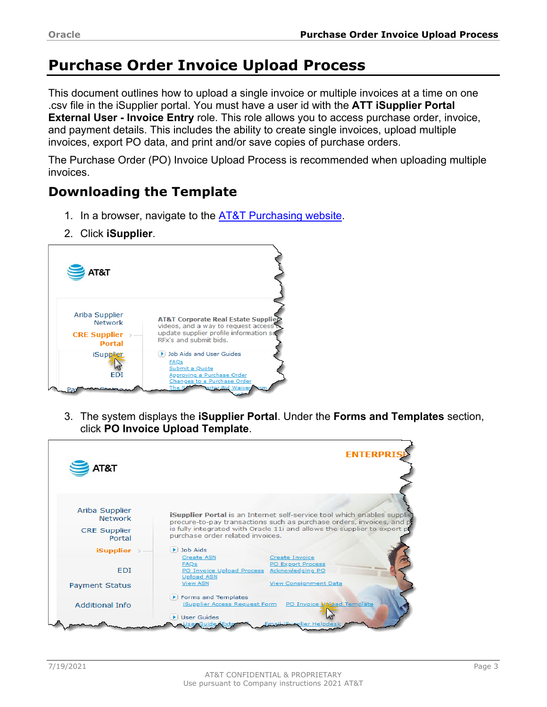# <span id="page-2-0"></span>**Purchase Order Invoice Upload Process**

This document outlines how to upload a single invoice or multiple invoices at a time on one .csv file in the iSupplier portal. You must have a user id with the **ATT iSupplier Portal External User - Invoice Entry** role. This role allows you to access purchase order, invoice, and payment details. This includes the ability to create single invoices, upload multiple invoices, export PO data, and print and/or save copies of purchase orders.

The Purchase Order (PO) Invoice Upload Process is recommended when uploading multiple invoices.

## <span id="page-2-1"></span>**Downloading the Template**

- 1. In a browser, navigate to the [AT&T Purchasing website.](https://attpurchasing.com/)
- 2. Click **iSupplier**.



3. The system displays the **iSupplier Portal**. Under the **Forms and Templates** section, click **PO Invoice Upload Template**.

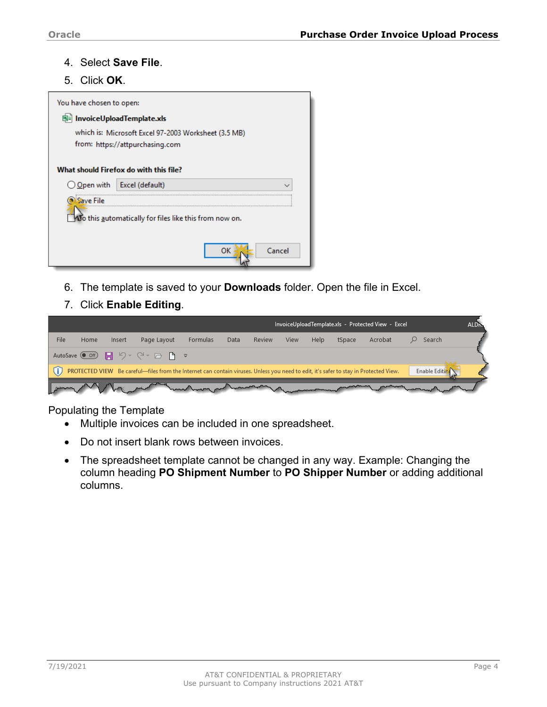#### 4. Select **Save File**.

5. Click **OK**.

| You have chosen to open:    |                                                        |
|-----------------------------|--------------------------------------------------------|
| 图 InvoiceUploadTemplate.xls |                                                        |
|                             | which is: Microsoft Excel 97-2003 Worksheet (3.5 MB)   |
|                             | from: https://attpurchasing.com                        |
|                             | What should Firefox do with this file?                 |
| ◯ <u>Open</u> with          | Excel (default)                                        |
| Save File                   |                                                        |
|                             | Vo this automatically for files like this from now on. |
|                             | Cancel<br>ок                                           |

- 6. The template is saved to your **Downloads** folder. Open the file in Excel.
- 7. Click **Enable Editing**.



#### Populating the Template

- Multiple invoices can be included in one spreadsheet.
- Do not insert blank rows between invoices.
- The spreadsheet template cannot be changed in any way. Example: Changing the column heading **PO Shipment Number** to **PO Shipper Number** or adding additional columns.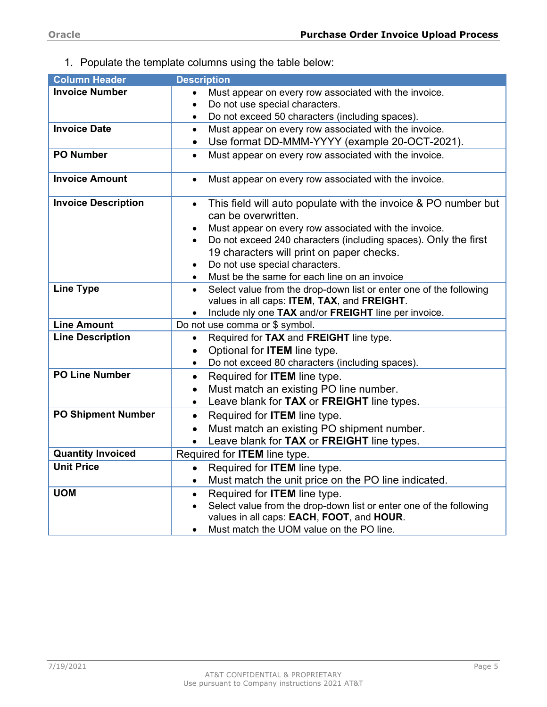1. Populate the template columns using the table below:

| Column Header              | <b>Description</b>                                                              |
|----------------------------|---------------------------------------------------------------------------------|
| <b>Invoice Number</b>      | Must appear on every row associated with the invoice.                           |
|                            | Do not use special characters.                                                  |
|                            | Do not exceed 50 characters (including spaces).                                 |
| <b>Invoice Date</b>        | Must appear on every row associated with the invoice.<br>$\bullet$              |
|                            | Use format DD-MMM-YYYY (example 20-OCT-2021).<br>$\bullet$                      |
| <b>PO Number</b>           | Must appear on every row associated with the invoice.<br>$\bullet$              |
| <b>Invoice Amount</b>      | Must appear on every row associated with the invoice.<br>$\bullet$              |
| <b>Invoice Description</b> | This field will auto populate with the invoice & PO number but<br>$\bullet$     |
|                            | can be overwritten.                                                             |
|                            | Must appear on every row associated with the invoice.                           |
|                            | Do not exceed 240 characters (including spaces). Only the first                 |
|                            | 19 characters will print on paper checks.                                       |
|                            | Do not use special characters.                                                  |
|                            | Must be the same for each line on an invoice                                    |
| <b>Line Type</b>           | Select value from the drop-down list or enter one of the following              |
|                            | values in all caps: ITEM, TAX, and FREIGHT.                                     |
|                            | Include nly one TAX and/or FREIGHT line per invoice.                            |
| <b>Line Amount</b>         | Do not use comma or \$ symbol.                                                  |
| <b>Line Description</b>    | Required for TAX and FREIGHT line type.<br>$\bullet$                            |
|                            | Optional for <b>ITEM</b> line type.                                             |
| <b>PO Line Number</b>      | Do not exceed 80 characters (including spaces).                                 |
|                            | Required for ITEM line type.<br>$\bullet$                                       |
|                            | Must match an existing PO line number.<br>$\bullet$                             |
|                            | Leave blank for TAX or FREIGHT line types.<br>$\bullet$                         |
| <b>PO Shipment Number</b>  | Required for <b>ITEM</b> line type.<br>$\bullet$                                |
|                            | Must match an existing PO shipment number.<br>$\bullet$                         |
|                            | Leave blank for TAX or FREIGHT line types.                                      |
| <b>Quantity Invoiced</b>   | Required for <b>ITEM</b> line type.                                             |
| <b>Unit Price</b>          | Required for <b>ITEM</b> line type.<br>$\bullet$                                |
|                            | Must match the unit price on the PO line indicated.                             |
| <b>UOM</b>                 | Required for <b>ITEM</b> line type.<br>$\bullet$                                |
|                            | Select value from the drop-down list or enter one of the following<br>$\bullet$ |
|                            | values in all caps: EACH, FOOT, and HOUR.                                       |
|                            | Must match the UOM value on the PO line.                                        |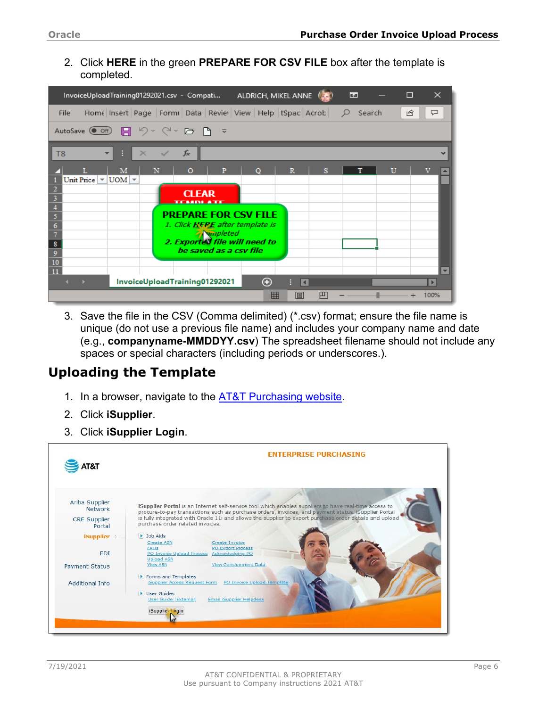2. Click **HERE** in the green **PREPARE FOR CSV FILE** box after the template is completed.

|                                                                  | InvoiceUploadTraining01292021.csv - Compati                              |                                                                                      | ALDRICH, MIKEL ANNE $\ell_{\rm s}$ |                           | 囨      | П            | $\times$                 |
|------------------------------------------------------------------|--------------------------------------------------------------------------|--------------------------------------------------------------------------------------|------------------------------------|---------------------------|--------|--------------|--------------------------|
| <b>File</b>                                                      | Home Insert Page   Formu Data   Revier   View   Help   tSpac   Acrob   Q |                                                                                      |                                    |                           | Search | ඦ            | ঢ়                       |
|                                                                  | AutoSave (e off) 日 り ~ (> ~ ) 日 下 ~                                      |                                                                                      |                                    |                           |        |              |                          |
| T8<br>$\overline{\phantom{a}}$                                   | R<br>$\times$<br>✓                                                       | $f_x$                                                                                |                                    |                           |        |              | $\checkmark$             |
| Unit Price $\vert \mathbf{v} \vert$ UOM $\vert \mathbf{v} \vert$ | M<br>N                                                                   | P<br>$\Omega$                                                                        | $\Omega$                           | $\mathbb{R}$<br>s         | T      | $\mathbf{U}$ |                          |
| 3                                                                |                                                                          | <b>CLEAR</b><br>TEMPLATE                                                             |                                    |                           |        |              |                          |
| 5<br>6                                                           |                                                                          | <b>PREPARE FOR CSV FILE</b><br>1. Click HERE after template is                       |                                    |                           |        |              |                          |
| 8                                                                |                                                                          | <b>A</b> <i>vinpleted</i><br>2. Exported file will need to<br>be saved as a csy file |                                    |                           |        |              |                          |
| 9<br>10                                                          |                                                                          |                                                                                      |                                    |                           |        |              | $\overline{\phantom{a}}$ |
| 11<br>$A = 1$                                                    |                                                                          | InvoiceUploadTraining01292021                                                        | ⊕                                  | H<br>$\blacktriangleleft$ |        |              | $\blacktriangleright$    |
|                                                                  |                                                                          |                                                                                      | 冊                                  | 凹<br>间                    |        |              | 100%                     |

3. Save the file in the CSV (Comma delimited) (\*.csv) format; ensure the file name is unique (do not use a previous file name) and includes your company name and date (e.g., **companyname-MMDDYY.csv**) The spreadsheet filename should not include any spaces or special characters (including periods or underscores.).

### <span id="page-5-0"></span>**Uploading the Template**

- 1. In a browser, navigate to the **AT&T Purchasing website**.
- 2. Click **iSupplier**.
- 3. Click **iSupplier Login**.

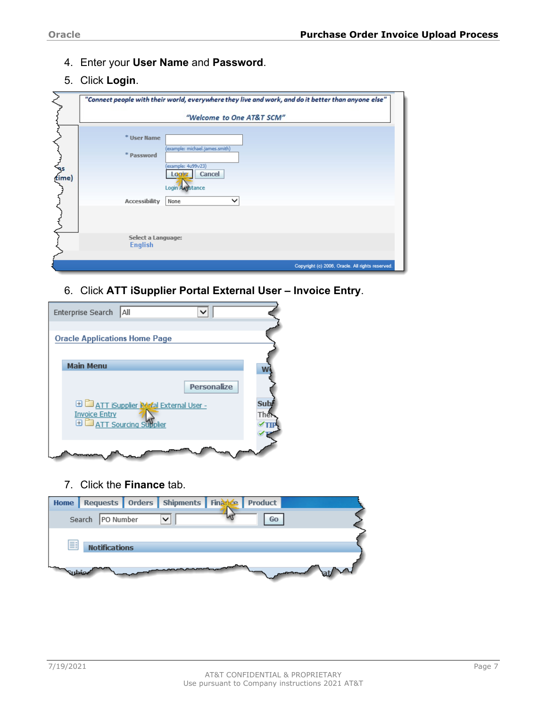- 4. Enter your **User Name** and **Password**.
- 5. Click **Login**.



6. Click **ATT iSupplier Portal External User – Invoice Entry**.

| Enterprise Search    | <b>AII</b>                                     |                    |     |
|----------------------|------------------------------------------------|--------------------|-----|
|                      |                                                |                    |     |
|                      | <b>Oracle Applications Home Page</b>           |                    |     |
|                      |                                                |                    |     |
| <b>Main Menu</b>     |                                                |                    |     |
|                      |                                                |                    |     |
|                      |                                                |                    |     |
|                      |                                                | <b>Personalize</b> |     |
|                      | <b>E CATT iSupplier Roafal External User -</b> |                    | Sul |
|                      |                                                |                    |     |
| <b>Invoice Entry</b> |                                                |                    | The |
|                      | <b>ED ATT Sourcing Supplier</b>                |                    |     |
|                      |                                                |                    |     |
|                      |                                                |                    |     |
|                      |                                                |                    |     |
|                      |                                                |                    |     |

7. Click the **Finance** tab.

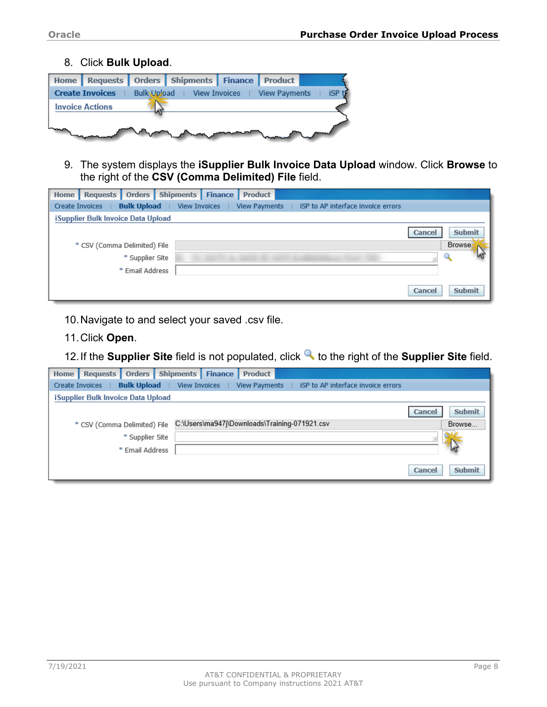8. Click **Bulk Upload**.



9. The system displays the **iSupplier Bulk Invoice Data Upload** window. Click **Browse** to the right of the **CSV (Comma Delimited) File** field.

| Home | <b>Requests</b>                    | Orders             | <b>Shipments</b>     | <b>Finance</b> | Product       |                                    |        |               |
|------|------------------------------------|--------------------|----------------------|----------------|---------------|------------------------------------|--------|---------------|
|      | Create Invoices                    | <b>Bulk Upload</b> | <b>View Invoices</b> |                | View Payments | iSP to AP interface invoice errors |        |               |
|      | iSupplier Bulk Invoice Data Upload |                    |                      |                |               |                                    |        |               |
|      |                                    |                    |                      |                |               |                                    | Cancel | <b>Submit</b> |
|      | * CSV (Comma Delimited) File       |                    |                      |                |               |                                    |        | Browse.       |
|      |                                    | * Supplier Site    |                      |                |               |                                    |        |               |
|      |                                    | * Email Address    |                      |                |               |                                    |        |               |
|      |                                    |                    |                      |                |               |                                    | Cancel | <b>Submit</b> |

10.Navigate to and select your saved .csv file.

11.Click **Open**.

12. If the **Supplier Site** field is not populated, click **the right of the Supplier Site** field.

| Home | <b>Requests</b>                    | Orders             | Shipments            | <b>Finance</b> | <b>Product</b>       |                                               |        |               |
|------|------------------------------------|--------------------|----------------------|----------------|----------------------|-----------------------------------------------|--------|---------------|
|      | Create Invoices                    | <b>Bulk Upload</b> | <b>View Invoices</b> |                | <b>View Payments</b> | iSP to AP interface invoice errors            |        |               |
|      | iSupplier Bulk Invoice Data Upload |                    |                      |                |                      |                                               |        |               |
|      |                                    |                    |                      |                |                      |                                               | Cancel | <b>Submit</b> |
|      | * CSV (Comma Delimited) File       |                    |                      |                |                      | C:\Users\ma947j\Downloads\Training-071921.csv |        | Browse        |
|      |                                    | * Supplier Site    |                      |                |                      |                                               |        |               |
|      |                                    | * Email Address    |                      |                |                      |                                               |        |               |
|      |                                    |                    |                      |                |                      |                                               | Cancel | <b>Submit</b> |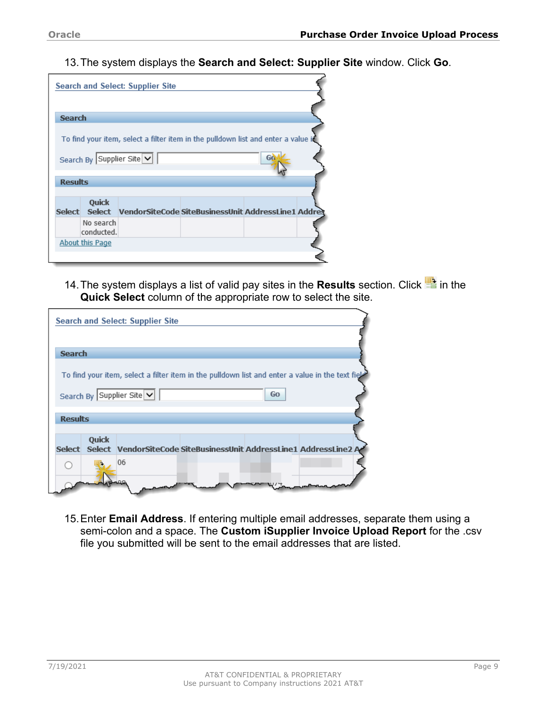13.The system displays the **Search and Select: Supplier Site** window. Click **Go**.

|                |                               | <b>Search and Select: Supplier Site</b> |                                                                                   |
|----------------|-------------------------------|-----------------------------------------|-----------------------------------------------------------------------------------|
|                |                               |                                         |                                                                                   |
| <b>Search</b>  |                               |                                         |                                                                                   |
|                |                               |                                         | To find your item, select a filter item in the pulldown list and enter a value it |
|                | Search By Supplier Site V     |                                         |                                                                                   |
| <b>Results</b> |                               |                                         |                                                                                   |
|                |                               |                                         |                                                                                   |
|                | <b>Ouick</b><br>Select Select |                                         | VendorSiteCode SiteBusinessUnit AddressLine1 Addres                               |
|                | No search<br>conducted.       |                                         |                                                                                   |
|                | <b>About this Page</b>        |                                         |                                                                                   |
|                |                               |                                         |                                                                                   |

14. The system displays a list of valid pay sites in the **Results** section. Click **in** in the **Quick Select** column of the appropriate row to select the site.

|                |       | Search and Select: Supplier Site                                                                                                  |
|----------------|-------|-----------------------------------------------------------------------------------------------------------------------------------|
|                |       |                                                                                                                                   |
| <b>Search</b>  |       |                                                                                                                                   |
|                |       | To find your item, select a filter item in the pulldown list and enter a value in the text field<br>Search By Supplier Site<br>Go |
| <b>Results</b> |       |                                                                                                                                   |
|                | Quick |                                                                                                                                   |
|                |       | Select Select VendorSiteCode SiteBusinessUnit AddressLine1 AddressLine2 A                                                         |
|                |       | 06                                                                                                                                |
|                |       |                                                                                                                                   |

15.Enter **Email Address**. If entering multiple email addresses, separate them using a semi-colon and a space. The **Custom iSupplier Invoice Upload Report** for the .csv file you submitted will be sent to the email addresses that are listed.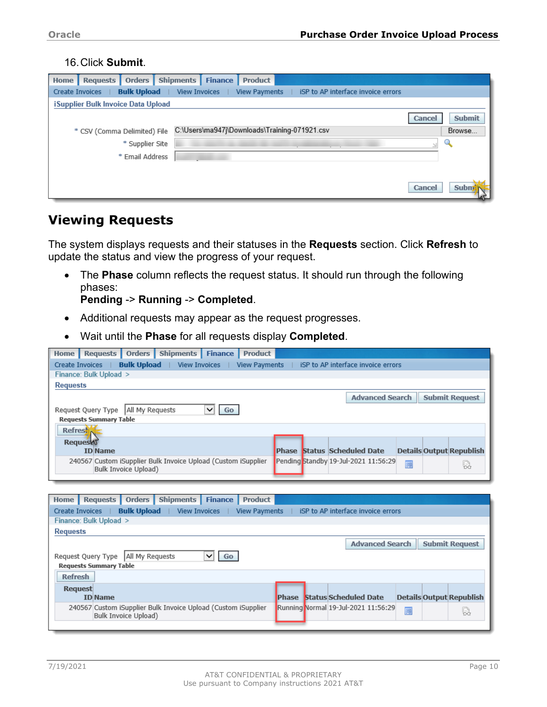#### 16.Click **Submit**.

| Home | <b>Requests</b>                    | Orders             | <b>Shipments</b>     | <b>Finance</b> | <b>Product</b>                                |  |                                    |        |               |
|------|------------------------------------|--------------------|----------------------|----------------|-----------------------------------------------|--|------------------------------------|--------|---------------|
|      | <b>Create Invoices</b>             | <b>Bulk Upload</b> | <b>View Invoices</b> |                | <b>View Payments</b>                          |  | iSP to AP interface invoice errors |        |               |
|      | iSupplier Bulk Invoice Data Upload |                    |                      |                |                                               |  |                                    |        |               |
|      |                                    |                    |                      |                |                                               |  |                                    | Cancel | <b>Submit</b> |
|      | * CSV (Comma Delimited) File       |                    |                      |                | C:\Users\ma947j\Downloads\Training-071921.csv |  |                                    |        | Browse        |
|      |                                    | * Supplier Site    |                      |                |                                               |  |                                    |        | u.            |
|      |                                    | * Email Address    |                      |                |                                               |  |                                    |        |               |
|      |                                    |                    |                      |                |                                               |  |                                    |        |               |
|      |                                    |                    |                      |                |                                               |  |                                    | Cancel | Subr          |

### <span id="page-9-0"></span>**Viewing Requests**

The system displays requests and their statuses in the **Requests** section. Click **Refresh** to update the status and view the progress of your request.

• The **Phase** column reflects the request status. It should run through the following phases:

**Pending** -> **Running** -> **Completed**.

240567 Custom iSupplier Bulk Invoice Upload (Custom iSupplier

Bulk Invoice Upload)

- Additional requests may appear as the request progresses.
- Wait until the **Phase** for all requests display **Completed**.

| Orders  <br><b>Shipments</b><br><b>Finance</b><br><b>Requests</b><br><b>Product</b><br>Home |                                                                                 |
|---------------------------------------------------------------------------------------------|---------------------------------------------------------------------------------|
| <b>Bulk Upload</b>   View Invoices<br><b>Create Invoices</b><br><b>View Payments</b>        | ISP to AP interface invoice errors                                              |
| Finance: Bulk Upload >                                                                      |                                                                                 |
|                                                                                             |                                                                                 |
| <b>Requests</b>                                                                             |                                                                                 |
|                                                                                             | <b>Submit Request</b><br><b>Advanced Search</b>                                 |
| All My Requests<br>Request Query Type<br>Go<br>◡                                            |                                                                                 |
| <b>Requests Summary Table</b>                                                               |                                                                                 |
| Refresh                                                                                     |                                                                                 |
| Request                                                                                     |                                                                                 |
| <b>ID</b> Name                                                                              | <b>Phase Status Scheduled Date</b><br><b>Details Output Republish</b>           |
| 240567 Custom iSupplier Bulk Invoice Upload (Custom iSupplier                               | Pending Standby 19-Jul-2021 11:56:29<br>画<br>恳                                  |
| Bulk Invoice Upload)                                                                        |                                                                                 |
|                                                                                             |                                                                                 |
|                                                                                             |                                                                                 |
| Home   Requests   Orders  <br>Shipments Finance<br><b>Product</b>                           |                                                                                 |
|                                                                                             |                                                                                 |
| <b>Bulk Upload</b><br>  View Invoices<br>Create Invoices<br><b>View Payments</b>            | ISP to AP interface invoice errors                                              |
| Finance: Bulk Upload >                                                                      |                                                                                 |
| <b>Requests</b>                                                                             |                                                                                 |
|                                                                                             | <b>Advanced Search</b>                                                          |
|                                                                                             | <b>Submit Request</b>                                                           |
| All My Requests<br>Request Query Type<br>Go                                                 |                                                                                 |
| <b>Requests Summary Table</b>                                                               |                                                                                 |
| <b>Refresh</b>                                                                              |                                                                                 |
| <b>Request</b><br><b>ID</b> Name                                                            | <b>Status Scheduled Date</b><br><b>Phase</b><br><b>Details Output Republish</b> |

Running Normal 19-Jul-2021 11:56:29

画

g.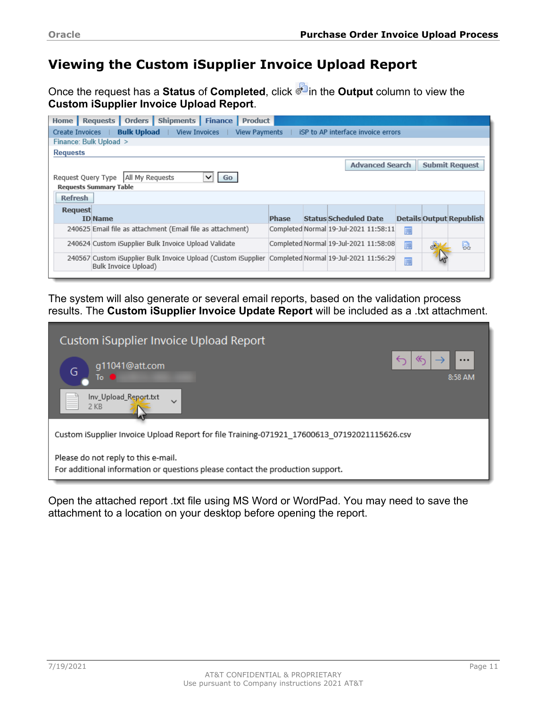## <span id="page-10-0"></span>**Viewing the Custom iSupplier Invoice Upload Report**

Once the request has a **Status** of **Completed**, click in the **Output** column to view the **Custom iSupplier Invoice Upload Report**.

| Home                                        |                                                 | <b>Requests</b>        | Orders               | Shipments                                                                                            | <b>Finance</b> | <b>Product</b>       |              |  |                                       |   |   |                                 |
|---------------------------------------------|-------------------------------------------------|------------------------|----------------------|------------------------------------------------------------------------------------------------------|----------------|----------------------|--------------|--|---------------------------------------|---|---|---------------------------------|
| Create Invoices                             |                                                 |                        | <b>Bulk Upload</b>   | <b>View Invoices</b>                                                                                 |                | <b>View Payments</b> |              |  | iSP to AP interface invoice errors    |   |   |                                 |
|                                             |                                                 | Finance: Bulk Upload > |                      |                                                                                                      |                |                      |              |  |                                       |   |   |                                 |
| <b>Requests</b>                             |                                                 |                        |                      |                                                                                                      |                |                      |              |  |                                       |   |   |                                 |
|                                             | <b>Advanced Search</b><br><b>Submit Request</b> |                        |                      |                                                                                                      |                |                      |              |  |                                       |   |   |                                 |
| All My Requests<br>Request Query Type<br>Go |                                                 |                        |                      |                                                                                                      |                |                      |              |  |                                       |   |   |                                 |
| <b>Requests Summary Table</b>               |                                                 |                        |                      |                                                                                                      |                |                      |              |  |                                       |   |   |                                 |
| <b>Refresh</b>                              |                                                 |                        |                      |                                                                                                      |                |                      |              |  |                                       |   |   |                                 |
|                                             |                                                 |                        |                      |                                                                                                      |                |                      |              |  |                                       |   |   |                                 |
|                                             | <b>Request</b>                                  | <b>ID</b> Name         |                      |                                                                                                      |                |                      | <b>Phase</b> |  | <b>Status Scheduled Date</b>          |   |   | <b>Details Output Republish</b> |
|                                             |                                                 |                        |                      |                                                                                                      |                |                      |              |  |                                       |   |   |                                 |
|                                             |                                                 |                        |                      | 240625 Email file as attachment (Email file as attachment)                                           |                |                      |              |  | Completed Normal 19-Jul-2021 11:58:11 | 画 |   |                                 |
|                                             |                                                 |                        |                      | 240624 Custom iSupplier Bulk Invoice Upload Validate                                                 |                |                      |              |  | Completed Normal 19-Jul-2021 11:58:08 | 画 | đ | 恳                               |
|                                             |                                                 |                        | Bulk Invoice Upload) | 240567 Custom iSupplier Bulk Invoice Upload (Custom iSupplier  Completed Normal 19-Jul-2021 11:56:29 |                |                      |              |  |                                       | 画 |   |                                 |
|                                             |                                                 |                        |                      |                                                                                                      |                |                      |              |  |                                       |   |   |                                 |

The system will also generate or several email reports, based on the validation process results. The **Custom iSupplier Invoice Update Report** will be included as a .txt attachment.

| Custom iSupplier Invoice Upload Report                                                                                |                          |
|-----------------------------------------------------------------------------------------------------------------------|--------------------------|
| g11041@att.com<br>G<br>To C                                                                                           | ↞<br>$\cdots$<br>8:58 AM |
| Inv_Upload_Report.txt<br>$\checkmark$<br>$2$ KB                                                                       |                          |
| Custom iSupplier Invoice Upload Report for file Training-071921 17600613 07192021115626.csv                           |                          |
| Please do not reply to this e-mail.<br>For additional information or questions please contact the production support. |                          |

Open the attached report .txt file using MS Word or WordPad. You may need to save the attachment to a location on your desktop before opening the report.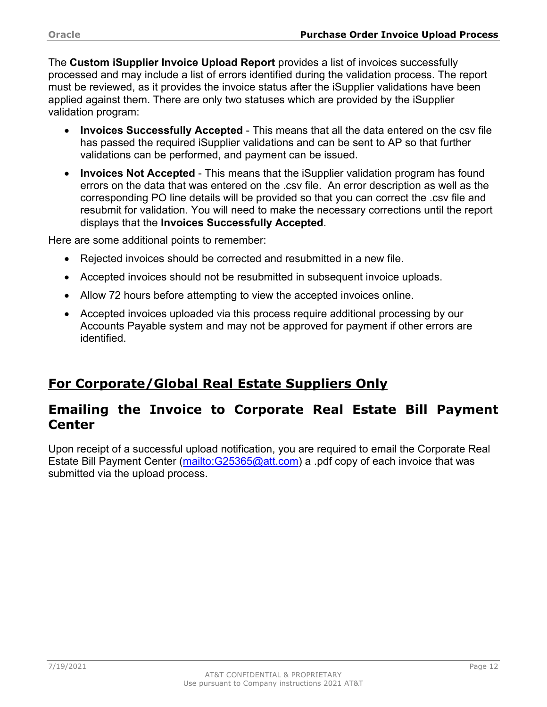The **Custom iSupplier Invoice Upload Report** provides a list of invoices successfully processed and may include a list of errors identified during the validation process. The report must be reviewed, as it provides the invoice status after the iSupplier validations have been applied against them. There are only two statuses which are provided by the iSupplier validation program:

- **Invoices Successfully Accepted** This means that all the data entered on the csv file has passed the required iSupplier validations and can be sent to AP so that further validations can be performed, and payment can be issued.
- **Invoices Not Accepted** This means that the iSupplier validation program has found errors on the data that was entered on the .csv file. An error description as well as the corresponding PO line details will be provided so that you can correct the .csv file and resubmit for validation. You will need to make the necessary corrections until the report displays that the **Invoices Successfully Accepted**.

Here are some additional points to remember:

- Rejected invoices should be corrected and resubmitted in a new file.
- Accepted invoices should not be resubmitted in subsequent invoice uploads.
- Allow 72 hours before attempting to view the accepted invoices online.
- Accepted invoices uploaded via this process require additional processing by our Accounts Payable system and may not be approved for payment if other errors are identified.

## <span id="page-11-0"></span>**For Corporate/Global Real Estate Suppliers Only**

### <span id="page-11-1"></span>**Emailing the Invoice to Corporate Real Estate Bill Payment Center**

Upon receipt of a successful upload notification, you are required to email the Corporate Real Estate Bill Payment Center [\(mailto:G25365@att.com\)](mailto:G25365@att.com) a .pdf copy of each invoice that was submitted via the upload process.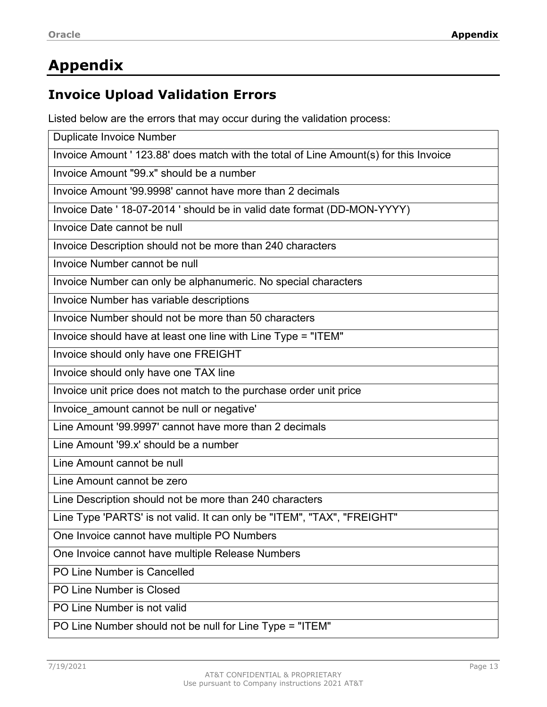# <span id="page-12-0"></span>**Appendix**

## <span id="page-12-1"></span>**Invoice Upload Validation Errors**

Listed below are the errors that may occur during the validation process:

| <b>Duplicate Invoice Number</b>                                                       |
|---------------------------------------------------------------------------------------|
| Invoice Amount ' 123.88' does match with the total of Line Amount(s) for this Invoice |
| Invoice Amount "99.x" should be a number                                              |
| Invoice Amount '99,9998' cannot have more than 2 decimals                             |
| Invoice Date ' 18-07-2014 ' should be in valid date format (DD-MON-YYYY)              |
| Invoice Date cannot be null                                                           |
| Invoice Description should not be more than 240 characters                            |
| Invoice Number cannot be null                                                         |
| Invoice Number can only be alphanumeric. No special characters                        |
| Invoice Number has variable descriptions                                              |
| Invoice Number should not be more than 50 characters                                  |
| Invoice should have at least one line with Line Type = "ITEM"                         |
| Invoice should only have one FREIGHT                                                  |
| Invoice should only have one TAX line                                                 |
| Invoice unit price does not match to the purchase order unit price                    |
| Invoice_amount cannot be null or negative'                                            |
| Line Amount '99,9997' cannot have more than 2 decimals                                |
| Line Amount '99.x' should be a number                                                 |
| Line Amount cannot be null                                                            |
| Line Amount cannot be zero                                                            |
| Line Description should not be more than 240 characters                               |
| Line Type 'PARTS' is not valid. It can only be "ITEM", "TAX", "FREIGHT"               |
| One Invoice cannot have multiple PO Numbers                                           |
| One Invoice cannot have multiple Release Numbers                                      |
| PO Line Number is Cancelled                                                           |
| PO Line Number is Closed                                                              |
| PO Line Number is not valid                                                           |
| PO Line Number should not be null for Line Type = "ITEM"                              |